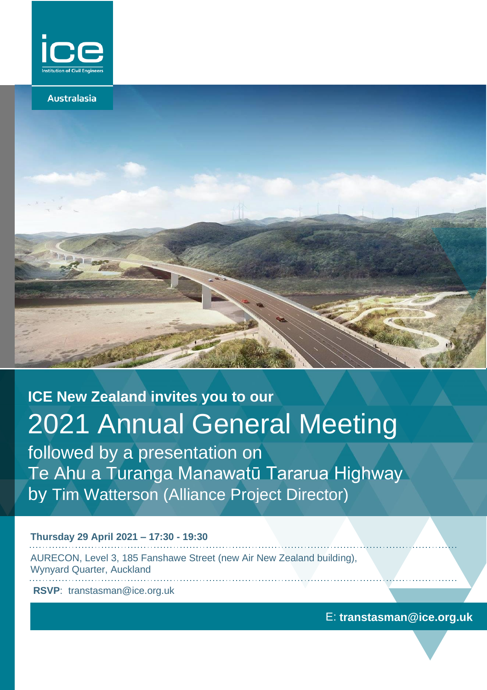

**Australasia** 



## **ICE New Zealand invites you to our** 2021 Annual General Meeting

followed by a presentation on Te Ahu a Turanga Manawatū Tararua Highway by Tim Watterson (Alliance Project Director)

## **Thursday 29 April 2021 – 17:30 - 19:30**

AURECON, Level 3, 185 Fanshawe Street (new Air New Zealand building), Wynyard Quarter, Auckland

**RSVP**: transtasman@ice.org.uk

E: **transtasman@ice.org.uk**